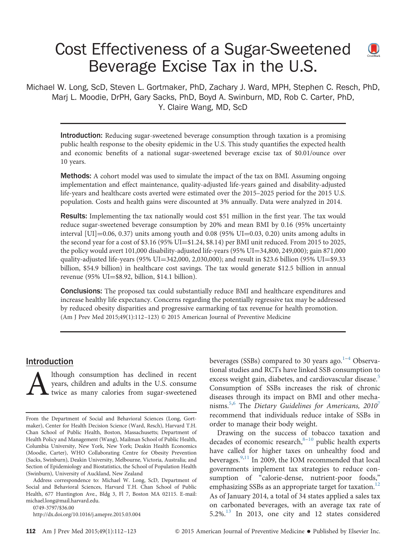# Cost Effectiveness of a Sugar-Sweetened  $\bigcirc$ Beverage Excise Tax in the U.S.

Michael W. Long, ScD, Steven L. Gortmaker, PhD, Zachary J. Ward, MPH, Stephen C. Resch, PhD, Marj L. Moodie, DrPH, Gary Sacks, PhD, Boyd A. Swinburn, MD, Rob C. Carter, PhD, Y. Claire Wang, MD, ScD

Introduction: Reducing sugar-sweetened beverage consumption through taxation is a promising public health response to the obesity epidemic in the U.S. This study quantifies the expected health and economic benefits of a national sugar-sweetened beverage excise tax of \$0.01/ounce over 10 years.

**Methods:** A cohort model was used to simulate the impact of the tax on BMI. Assuming ongoing implementation and effect maintenance, quality-adjusted life-years gained and disability-adjusted life-years and healthcare costs averted were estimated over the 2015–2025 period for the 2015 U.S. population. Costs and health gains were discounted at 3% annually. Data were analyzed in 2014.

**Results:** Implementing the tax nationally would cost \$51 million in the first year. The tax would reduce sugar-sweetened beverage consumption by 20% and mean BMI by 0.16 (95% uncertainty interval  $[U1] = 0.06, 0.37$  units among youth and 0.08 (95%  $UI = 0.03, 0.20$ ) units among adults in the second year for a cost of  $$3.16$  (95% UI= $$1.24$ ,  $$8.14$ ) per BMI unit reduced. From 2015 to 2025, the policy would avert 101,000 disability-adjusted life-years (95% UI=34,800, 249,000); gain 871,000 quality-adjusted life-years (95% UI=342,000, 2,030,000); and result in \$23.6 billion (95% UI=\$9.33 billion, \$54.9 billion) in healthcare cost savings. The tax would generate \$12.5 billion in annual revenue (95%  $UI = $8.92$ , billion, \$14.1 billion).

**Conclusions:** The proposed tax could substantially reduce BMI and healthcare expenditures and increase healthy life expectancy. Concerns regarding the potentially regressive tax may be addressed by reduced obesity disparities and progressive earmarking of tax revenue for health promotion. (Am J Prev Med 2015;49(1):112–123) & 2015 American Journal of Preventive Medicine

# Introduction

Although consumption has declined in recent years, children and adults in the U.S. consume twice as many calories from sugar-sweetened years, children and adults in the U.S. consume twice as many calories from sugar-sweetened

[0749-3797/\\$36.00](mailto:michael.long@mail.harvard.edu)

<http://dx.doi.org/10.1016/j.amepre.2015.03.004>

beverages (SSBs) compared to 30 years ago. $1-4$  $1-4$  Observational studies and RCTs have linked SSB consumption to excess weight gain, diabetes, and cardiovascular disease.<sup>[5](#page-9-0)</sup> Consumption of SSBs increases the risk of chronic diseases through its impact on BMI and other mecha-nisms.<sup>[5,6](#page-9-0)</sup> The Dietary Guidelines for Americans, 2010<sup>[7](#page-9-0)</sup> recommend that individuals reduce intake of SSBs in order to manage their body weight.

Drawing on the success of tobacco taxation and decades of economic research, $8-10$  $8-10$  public health experts have called for higher taxes on unhealthy food and beverages. $9,11$  $9,11$  In 2009, the IOM recommended that local governments implement tax strategies to reduce consumption of "calorie-dense, nutrient-poor foods," emphasizing SSBs as an appropriate target for taxation.<sup>12</sup> As of January 2014, a total of 34 states applied a sales tax on carbonated beverages, with an average tax rate of  $5.2\%$ .<sup>13</sup> In 2013, one city and 12 states considered

From the Department of Social and Behavioral Sciences (Long, Gortmaker), Center for Health Decision Science (Ward, Resch), Harvard T.H. Chan School of Public Health, Boston, Massachusetts; Department of Health Policy and Management (Wang), Mailman School of Public Health, Columbia University, New York, New York; Deakin Health Economics (Moodie, Carter), WHO Collaborating Centre for Obesity Prevention (Sacks, Swinburn), Deakin University, Melbourne, Victoria, Australia; and Section of Epidemiology and Biostatistics, the School of Population Health (Swinburn), University of Auckland, New Zealand

Address correspondence to: Michael W. Long, ScD, Department of Social and Behavioral Sciences, Harvard T.H. Chan School of Public Health, 677 Huntington Ave., Bldg 3, Fl 7, Boston MA 02115. E-mail: [michael.long@mail.harvard.edu.](mailto:michael.long@mail.harvard.edu)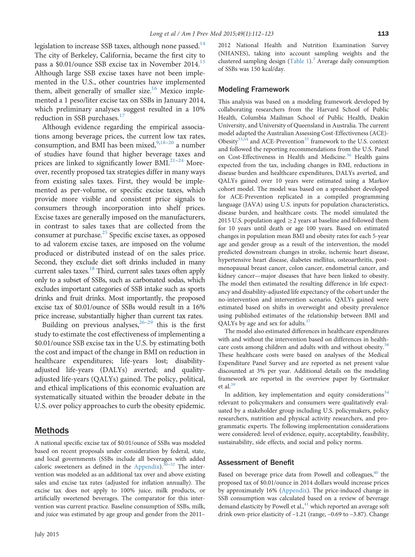legislation to increase SSB taxes, although none passed.<sup>14</sup> The city of Berkeley, California, became the first city to pass a \$0.01/ounce SSB excise tax in November 2014.<sup>15</sup> Although large SSB excise taxes have not been implemented in the U.S., other countries have implemented them, albeit generally of smaller size.<sup>[16](#page-9-0)</sup> Mexico implemented a 1 peso/liter excise tax on SSBs in January 2014, which preliminary analyses suggest resulted in a 10% reduction in SSB purchases.<sup>[17](#page-9-0)</sup>

Although evidence regarding the empirical associations among beverage prices, the current low tax rates, consumption, and BMI has been mixed, <sup>[9,18](#page-9-0)-[20](#page-9-0)</sup> a number of studies have found that higher beverage taxes and prices are linked to significantly lower BMI.<sup>[21](#page-9-0)-[24](#page-10-0)</sup> Moreover, recently proposed tax strategies differ in many ways from existing sales taxes. First, they would be implemented as per-volume, or specific excise taxes, which provide more visible and consistent price signals to consumers through incorporation into shelf prices. Excise taxes are generally imposed on the manufacturers, in contrast to sales taxes that are collected from the consumer at purchase.<sup>[25](#page-10-0)</sup> Specific excise taxes, as opposed to ad valorem excise taxes, are imposed on the volume produced or distributed instead of on the sales price. Second, they exclude diet soft drinks included in many current sales taxes[.18](#page-9-0) Third, current sales taxes often apply only to a subset of SSBs, such as carbonated sodas, which excludes important categories of SSB intake such as sports drinks and fruit drinks. Most importantly, the proposed excise tax of \$0.01/ounce of SSBs would result in a 16% price increase, substantially higher than current tax rates.

Building on previous analyses,  $26-29$  $26-29$  this is the first study to estimate the cost effectiveness of implementing a \$0.01/ounce SSB excise tax in the U.S. by estimating both the cost and impact of the change in BMI on reduction in healthcare expenditures; life-years lost; disabilityadjusted life-years (DALYs) averted; and qualityadjusted life-years (QALYs) gained. The policy, political, and ethical implications of this economic evaluation are systematically situated within the broader debate in the U.S. over policy approaches to curb the obesity epidemic.

## Methods

A national specific excise tax of \$0.01/ounce of SSBs was modeled based on recent proposals under consideration by federal, state, and local governments (SSBs include all beverages with added caloric sweeteners as defined in the [Appendix](#page-11-0)). $30-32$  $30-32$  $30-32$  The intervention was modeled as an additional tax over and above existing sales and excise tax rates (adjusted for inflation annually). The excise tax does not apply to 100% juice, milk products, or artificially sweetened beverages. The comparator for this intervention was current practice. Baseline consumption of SSBs, milk, and juice was estimated by age group and gender from the 2011–

July 2015

2012 National Health and Nutrition Examination Survey (NHANES), taking into account sampling weights and the clustered sampling design  $(Table 1)$  $(Table 1)$ .<sup>[3](#page-9-0)</sup> Average daily consumption of SSBs was 150 kcal/day.

#### Modeling Framework

This analysis was based on a modeling framework developed by collaborating researchers from the Harvard School of Public Health, Columbia Mailman School of Public Health, Deakin University, and University of Queensland in Australia. The current model adapted the Australian Assessing Cost-Effectiveness (ACE)- Obesity $33,34$  and ACE-Prevention<sup>[35](#page-10-0)</sup> framework to the U.S. context and followed the reporting recommendations from the U.S. Panel on Cost-Effectiveness in Health and Medicine.<sup>[36](#page-10-0)</sup> Health gains expected from the tax, including changes in BMI, reductions in disease burden and healthcare expenditures, DALYs averted, and QALYs gained over 10 years were estimated using a Markov cohort model. The model was based on a spreadsheet developed for ACE-Prevention replicated in a compiled programming language (JAVA) using U.S. inputs for population characteristics, disease burden, and healthcare costs. The model simulated the 2015 U.S. population aged  $\geq$  2 years at baseline and followed them for 10 years until death or age 100 years. Based on estimated changes in population mean BMI and obesity rates for each 5-year age and gender group as a result of the intervention, the model predicted downstream changes in stroke, ischemic heart disease, hypertensive heart disease, diabetes mellitus, osteoarthritis, postmenopausal breast cancer, colon cancer, endometrial cancer, and kidney cancer—major diseases that have been linked to obesity. The model then estimated the resulting difference in life expectancy and disability-adjusted life expectancy of the cohort under the no-intervention and intervention scenario. QALYs gained were estimated based on shifts in overweight and obesity prevalence using published estimates of the relationship between BMI and QALYs by age and sex for adults.<sup>[37](#page-10-0)</sup>

The model also estimated differences in healthcare expenditures with and without the intervention based on differences in health-care costs among children and adults with and without obesity.<sup>[38](#page-10-0)</sup> These healthcare costs were based on analyses of the Medical Expenditure Panel Survey and are reported as net present value discounted at 3% per year. Additional details on the modeling framework are reported in the overview paper by Gortmaker et al. $39$ 

In addition, key implementation and equity considerations $34$ relevant to policymakers and consumers were qualitatively evaluated by a stakeholder group including U.S. policymakers, policy researchers, nutrition and physical activity researchers, and programmatic experts. The following implementation considerations were considered: level of evidence, equity, acceptability, feasibility, sustainability, side effects, and social and policy norms.

#### Assessment of Benefit

Based on beverage price data from Powell and colleagues, $40$  the proposed tax of \$0.01/ounce in 2014 dollars would increase prices by approximately 16% [\(Appendix](#page-11-0)). The price-induced change in SSB consumption was calculated based on a review of beverage demand elasticity by Powell et al., $41$  which reported an average soft drink own-price elasticity of –1.21 (range, –0.69 to –3.87). Change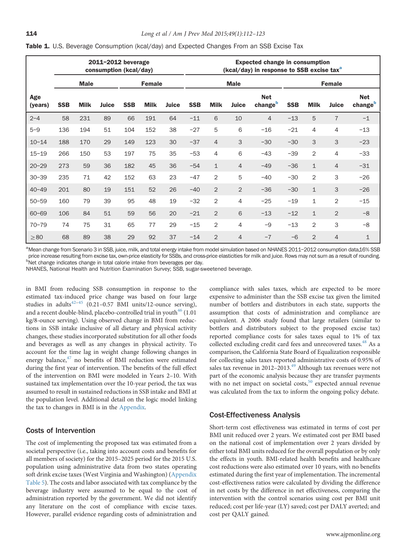<span id="page-2-0"></span>

|  |  |  | Table 1. U.S. Beverage Consumption (kcal/day) and Expected Changes From an SSB Excise Tax |  |  |  |  |  |  |  |  |
|--|--|--|-------------------------------------------------------------------------------------------|--|--|--|--|--|--|--|--|
|--|--|--|-------------------------------------------------------------------------------------------|--|--|--|--|--|--|--|--|

|                | 2011-2012 beverage<br>consumption (kcal/day) |             |       |            |             | <b>Expected change in consumption</b><br>(kcal/day) in response to SSB excise tax <sup>a</sup> |            |                |                |                       |            |              |                |                       |
|----------------|----------------------------------------------|-------------|-------|------------|-------------|------------------------------------------------------------------------------------------------|------------|----------------|----------------|-----------------------|------------|--------------|----------------|-----------------------|
|                | <b>Male</b><br><b>Female</b>                 |             |       |            | <b>Male</b> |                                                                                                |            | <b>Female</b>  |                |                       |            |              |                |                       |
| Age<br>(years) | <b>SSB</b>                                   | <b>Milk</b> | Juice | <b>SSB</b> | <b>Milk</b> | Juice                                                                                          | <b>SSB</b> | <b>Milk</b>    | Juice          | <b>Net</b><br>changeb | <b>SSB</b> | <b>Milk</b>  | Juice          | <b>Net</b><br>changeb |
| $2 - 4$        | 58                                           | 231         | 89    | 66         | 191         | 64                                                                                             | $-11$      | 6              | 10             | 4                     | $-13$      | 5            | $\overline{7}$ | $-1$                  |
| $5 - 9$        | 136                                          | 194         | 51    | 104        | 152         | 38                                                                                             | $-27$      | 5              | 6              | $-16$                 | $-21$      | 4            | $\overline{4}$ | $-13$                 |
| $10 - 14$      | 188                                          | 170         | 29    | 149        | 123         | 30                                                                                             | $-37$      | $\overline{4}$ | 3              | $-30$                 | $-30$      | 3            | 3              | $-23$                 |
| $15 - 19$      | 266                                          | 150         | 53    | 197        | 75          | 35                                                                                             | $-53$      | 4              | 6              | $-43$                 | $-39$      | 2            | $\overline{4}$ | $-33$                 |
| $20 - 29$      | 273                                          | 59          | 36    | 182        | 45          | 36                                                                                             | $-54$      | $\mathbf 1$    | 4              | $-49$                 | $-36$      | $\mathbf{1}$ | $\overline{4}$ | $-31$                 |
| $30 - 39$      | 235                                          | 71          | 42    | 152        | 63          | 23                                                                                             | $-47$      | $\overline{2}$ | 5              | $-40$                 | $-30$      | 2            | 3              | $-26$                 |
| $40 - 49$      | 201                                          | 80          | 19    | 151        | 52          | 26                                                                                             | $-40$      | 2              | $\overline{2}$ | $-36$                 | $-30$      | $\mathbf{1}$ | 3              | $-26$                 |
| $50 - 59$      | 160                                          | 79          | 39    | 95         | 48          | 19                                                                                             | $-32$      | $\overline{2}$ | 4              | $-25$                 | $-19$      | $\mathbf{1}$ | $\overline{2}$ | $-15$                 |
| $60 - 69$      | 106                                          | 84          | 51    | 59         | 56          | 20                                                                                             | $-21$      | 2              | 6              | $-13$                 | $-12$      | $\mathbf{1}$ | $\overline{2}$ | $-8$                  |
| $70 - 79$      | 74                                           | 75          | 31    | 65         | 77          | 29                                                                                             | $-15$      | 2              | 4              | $-9$                  | $-13$      | 2            | 3              | $-8$                  |
| $\geq 80$      | 68                                           | 89          | 38    | 29         | 92          | 37                                                                                             | $-14$      | $\overline{2}$ | 4              | $-7$                  | $-6$       | 2            | $\overline{4}$ | $\overline{1}$        |

a<br>Mean change from Scenario 3 in SSB, juice, milk, and total energy intake from model simulation based on NHANES 2011–2012 consumption data,16% SSB price increase resulting from excise tax, own-price elasticity for SSBs, and cross-price elasticities for milk and juice. Rows may not sum as a result of rounding. <sup>b</sup>Net change indicates change in total calorie intake from beverages per day.

NHANES, National Health and Nutrition Examination Survey; SSB, sugar-sweetened beverage.

in BMI from reducing SSB consumption in response to the estimated tax-induced price change was based on four large studies in adults<sup>[42](#page-10-0)-[45](#page-10-0)</sup> (0.21-0.57 BMI units/12-ounce serving), and a recent double-blind, placebo-controlled trial in youth $46$  (1.01) kg/8-ounce serving). Using observed change in BMI from reductions in SSB intake inclusive of all dietary and physical activity changes, these studies incorporated substitution for all other foods and beverages as well as any changes in physical activity. To account for the time lag in weight change following changes in energy balance,<sup>[47](#page-10-0)</sup> no benefits of BMI reduction were estimated during the first year of intervention. The benefits of the full effect of the intervention on BMI were modeled in Years 2–10. With sustained tax implementation over the 10-year period, the tax was assumed to result in sustained reductions in SSB intake and BMI at the population level. Additional detail on the logic model linking the tax to changes in BMI is in the [Appendix.](#page-11-0)

#### Costs of Intervention

The cost of implementing the proposed tax was estimated from a societal perspective (i.e., taking into account costs and benefits for all members of society) for the 2015–2025 period for the 2015 U.S. population using administrative data from two states operating soft drink excise taxes (West Virginia and Washington) ([Appendix](#page-11-0) [Table 5](#page-11-0)). The costs and labor associated with tax compliance by the beverage industry were assumed to be equal to the cost of administration reported by the government. We did not identify any literature on the cost of compliance with excise taxes. However, parallel evidence regarding costs of administration and

compliance with sales taxes, which are expected to be more expensive to administer than the SSB excise tax given the limited number of bottlers and distributors in each state, supports the assumption that costs of administration and compliance are equivalent. A 2006 study found that large retailers (similar to bottlers and distributors subject to the proposed excise tax) reported compliance costs for sales taxes equal to 1% of tax collected excluding credit card fees and unrecovered taxes.<sup>[48](#page-10-0)</sup> As a comparison, the California State Board of Equalization responsible for collecting sales taxes reported administrative costs of 0.95% of sales tax revenue in 2012–2013. $49$  Although tax revenues were not part of the economic analysis because they are transfer payments with no net impact on societal costs, $50$  expected annual revenue was calculated from the tax to inform the ongoing policy debate.

#### Cost-Effectiveness Analysis

Short-term cost effectiveness was estimated in terms of cost per BMI unit reduced over 2 years. We estimated cost per BMI based on the national cost of implementation over 2 years divided by either total BMI units reduced for the overall population or by only the effects in youth. BMI-related health benefits and healthcare cost reductions were also estimated over 10 years, with no benefits estimated during the first year of implementation. The incremental cost-effectiveness ratios were calculated by dividing the difference in net costs by the difference in net effectiveness, comparing the intervention with the control scenarios using cost per BMI unit reduced; cost per life-year (LY) saved; cost per DALY averted; and cost per QALY gained.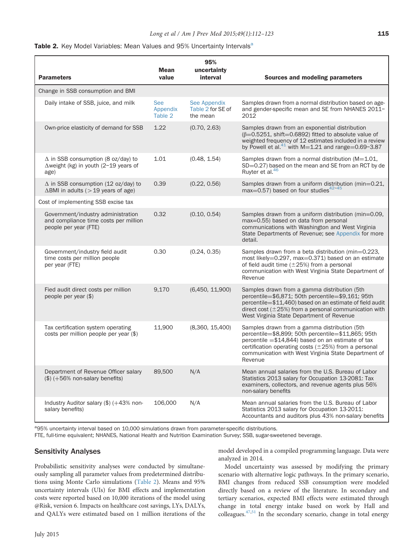| <b>Parameters</b>                                                                                    | <b>Mean</b><br>value              | 95%<br>uncertainty<br>interval                | <b>Sources and modeling parameters</b>                                                                                                                                                                                                                                                     |
|------------------------------------------------------------------------------------------------------|-----------------------------------|-----------------------------------------------|--------------------------------------------------------------------------------------------------------------------------------------------------------------------------------------------------------------------------------------------------------------------------------------------|
| Change in SSB consumption and BMI                                                                    |                                   |                                               |                                                                                                                                                                                                                                                                                            |
| Daily intake of SSB, juice, and milk                                                                 | <b>See</b><br>Appendix<br>Table 2 | See Appendix<br>Table 2 for SE of<br>the mean | Samples drawn from a normal distribution based on age-<br>and gender-specific mean and SE from NHANES 2011-<br>2012                                                                                                                                                                        |
| Own-price elasticity of demand for SSB                                                               | 1.22                              | (0.70, 2.63)                                  | Samples drawn from an exponential distribution<br>$(\beta=0.5251, \text{shift}=0.6892)$ fitted to absolute value of<br>weighted frequency of 12 estimates included in a review<br>by Powell et al. $^{41}$ with M=1.21 and range=0.69-3.87                                                 |
| $\Delta$ in SSB consumption (8 oz/day) to<br>$\Delta$ weight (kg) in youth (2-19 years of<br>age)    | 1.01                              | (0.48, 1.54)                                  | Samples drawn from a normal distribution ( $M = 1.01$ ,<br>SD=0.27) based on the mean and SE from an RCT by de<br>Ruyter et al. <sup>46</sup>                                                                                                                                              |
| $\Delta$ in SSB consumption (12 oz/day) to<br>$\Delta$ BMI in adults ( $>$ 19 years of age)          | 0.39                              | (0.22, 0.56)                                  | Samples drawn from a uniform distribution (min=0.21,<br>max=0.57) based on four studies $42-45$                                                                                                                                                                                            |
| Cost of implementing SSB excise tax                                                                  |                                   |                                               |                                                                                                                                                                                                                                                                                            |
| Government/industry administration<br>and compliance time costs per million<br>people per year (FTE) | 0.32                              | (0.10, 0.54)                                  | Samples drawn from a uniform distribution (min=0.09,<br>max=0.55) based on data from personal<br>communications with Washington and West Virginia<br>State Departments of Revenue; see Appendix for more<br>detail.                                                                        |
| Government/industry field audit<br>time costs per million people<br>per year (FTE)                   | 0.30                              | (0.24, 0.35)                                  | Samples drawn from a beta distribution (min=0.223,<br>most likely=0.297, max=0.371) based on an estimate<br>of field audit time $(\pm 25%)$ from a personal<br>communication with West Virginia State Department of<br>Revenue                                                             |
| Fied audit direct costs per million<br>people per year $(\$)$                                        | 9,170                             | (6,450, 11,900)                               | Samples drawn from a gamma distribution (5th<br>percentile=\$6,871; 50th percentile=\$9,161; 95th<br>percentile=\$11,460) based on an estimate of field audit<br>direct cost $(\pm 25%)$ from a personal communication with<br>West Virginia State Department of Revenue                   |
| Tax certification system operating<br>$costs$ per million people per year $(\$)$                     | 11,900                            | (8,360, 15,400)                               | Samples drawn from a gamma distribution (5th<br>percentile=\$8,899; 50th percentile=\$11,865; 95th<br>percentile $= $14,844$ ) based on an estimate of tax<br>certification operating costs $(\pm 25%)$ from a personal<br>communication with West Virginia State Department of<br>Revenue |
| Department of Revenue Officer salary<br>$(\$)$ (+56% non-salary benefits)                            | 89,500                            | N/A                                           | Mean annual salaries from the U.S. Bureau of Labor<br>Statistics 2013 salary for Occupation 13-2081: Tax<br>examiners, collectors, and revenue agents plus 56%<br>non-salary benefits                                                                                                      |
| Industry Auditor salary (\$) (+43% non-<br>salary benefits)                                          | 106,000                           | N/A                                           | Mean annual salaries from the U.S. Bureau of Labor<br>Statistics 2013 salary for Occupation 13-2011:<br>Accountants and auditors plus 43% non-salary benefits                                                                                                                              |

<sup>a</sup>95% uncertainty interval based on 10,000 simulations drawn from parameter-specific distributions.

FTE, full-time equivalent; NHANES, National Health and Nutrition Examination Survey; SSB, sugar-sweetened beverage.

#### Sensitivity Analyses

Probabilistic sensitivity analyses were conducted by simultaneously sampling all parameter values from predetermined distributions using Monte Carlo simulations (Table 2). Means and 95% uncertainty intervals (UIs) for BMI effects and implementation costs were reported based on 10,000 iterations of the model using @Risk, version 6. Impacts on healthcare cost savings, LYs, DALYs, and QALYs were estimated based on 1 million iterations of the model developed in a compiled programming language. Data were analyzed in 2014.

Model uncertainty was assessed by modifying the primary scenario with alternative logic pathways. In the primary scenario, BMI changes from reduced SSB consumption were modeled directly based on a review of the literature. In secondary and tertiary scenarios, expected BMI effects were estimated through change in total energy intake based on work by Hall and colleagues.[47,51](#page-10-0) In the secondary scenario, change in total energy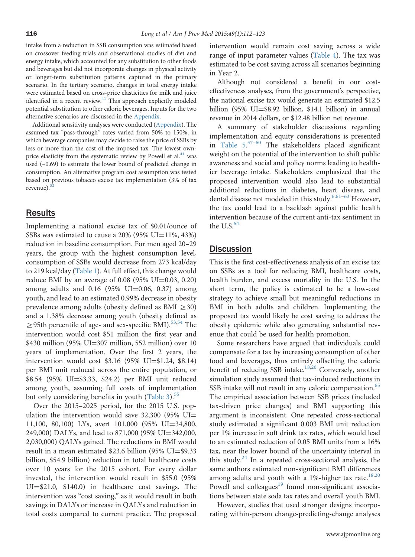intake from a reduction in SSB consumption was estimated based on crossover feeding trials and observational studies of diet and energy intake, which accounted for any substitution to other foods and beverages but did not incorporate changes in physical activity or longer-term substitution patterns captured in the primary scenario. In the tertiary scenario, changes in total energy intake were estimated based on cross-price elasticities for milk and juice identified in a recent review.<sup>[41](#page-10-0)</sup> This approach explicitly modeled potential substitution to other caloric beverages. Inputs for the two alternative scenarios are discussed in the [Appendix](#page-11-0).

Additional sensitivity analyses were conducted [\(Appendix\)](#page-11-0). The assumed tax "pass-through" rates varied from 50% to 150%, in which beverage companies may decide to raise the price of SSBs by less or more than the cost of the imposed tax. The lowest ownprice elasticity from the systematic review by Powell et al. $41$  was used (–0.69) to estimate the lower bound of predicted change in consumption. An alternative program cost assumption was tested based on previous tobacco excise tax implementation (3% of tax revenue). $52$ 

## Results

Implementing a national excise tax of \$0.01/ounce of SSBs was estimated to cause a  $20\%$  (95% UI=11%, 43%) reduction in baseline consumption. For men aged 20–29 years, the group with the highest consumption level, consumption of SSBs would decrease from 273 kcal/day to 219 kcal/day [\(Table 1\)](#page-2-0). At full effect, this change would reduce BMI by an average of  $0.08$  (95% UI=0.03, 0.20) among adults and  $0.16$  (95% UI=0.06, 0.37) among youth, and lead to an estimated 0.99% decrease in obesity prevalence among adults (obesity defined as BMI  $\geq$ 30) and a 1.38% decrease among youth (obesity defined as  $\geq$ 95th percentile of age- and sex-specific BMI).<sup>53,54</sup> The intervention would cost \$51 million the first year and \$430 million (95% UI=307 million, 552 million) over 10 years of implementation. Over the first 2 years, the intervention would cost \$3.16 (95% UI=\$1.24, \$8.14) per BMI unit reduced across the entire population, or \$8.54 (95% UI=\$3.33, \$24.2) per BMI unit reduced among youth, assuming full costs of implementation but only considering benefits in youth [\(Table 3\)](#page-5-0). $55$ 

Over the 2015–2025 period, for the 2015 U.S. population the intervention would save  $32,300$  (95% UI= 11,100, 80,100) LYs, avert 101,000 (95% UI=34,800, 249,000) DALYs, and lead to 871,000 (95% UI=342,000, 2,030,000) QALYs gained. The reductions in BMI would result in a mean estimated  $$23.6$  billion (95% UI= $$9.33$ ) billion, \$54.9 billion) reduction in total healthcare costs over 10 years for the 2015 cohort. For every dollar invested, the intervention would result in \$55.0 (95% UI=\$21.0, \$140.0) in healthcare cost savings. The intervention was "cost saving," as it would result in both savings in DALYs or increase in QALYs and reduction in total costs compared to current practice. The proposed intervention would remain cost saving across a wide range of input parameter values ([Table 4\)](#page-6-0). The tax was estimated to be cost saving across all scenarios beginning in Year 2.

Although not considered a benefit in our costeffectiveness analyses, from the government's perspective, the national excise tax would generate an estimated \$12.5 billion (95% UI $=$ \$8.92 billion, \$14.1 billion) in annual revenue in 2014 dollars, or \$12.48 billion net revenue.

A summary of stakeholder discussions regarding implementation and equity considerations is presented in [Table 5](#page-8-0). [57](#page-10-0)–[60](#page-10-0) The stakeholders placed significant weight on the potential of the intervention to shift public awareness and social and policy norms leading to healthier beverage intake. Stakeholders emphasized that the proposed intervention would also lead to substantial additional reductions in diabetes, heart disease, and dental disease not modeled in this study.<sup>[6,](#page-9-0)[61](#page-10-0)-[63](#page-11-0)</sup> However, the tax could lead to a backlash against public health intervention because of the current anti-tax sentiment in the U.S. $64$ 

# **Discussion**

This is the first cost-effectiveness analysis of an excise tax on SSBs as a tool for reducing BMI, healthcare costs, health burden, and excess mortality in the U.S. In the short term, the policy is estimated to be a low-cost strategy to achieve small but meaningful reductions in BMI in both adults and children. Implementing the proposed tax would likely be cost saving to address the obesity epidemic while also generating substantial revenue that could be used for health promotion.

Some researchers have argued that individuals could compensate for a tax by increasing consumption of other food and beverages, thus entirely offsetting the caloric benefit of reducing SSB intake.<sup>[18,20](#page-9-0)</sup> Conversely, another simulation study assumed that tax-induced reductions in SSB intake will not result in any caloric compensation.<sup>65</sup> The empirical association between SSB prices (included tax-driven price changes) and BMI supporting this argument is inconsistent. One repeated cross-sectional study estimated a significant 0.003 BMI unit reduction per 1% increase in soft drink tax rates, which would lead to an estimated reduction of 0.05 BMI units from a 16% tax, near the lower bound of the uncertainty interval in this study. $24$  In a repeated cross-sectional analysis, the same authors estimated non-significant BMI differences among adults and youth with a 1%-higher tax rate. $18,20$ Powell and colleagues<sup>[19](#page-9-0)</sup> found non-significant associations between state soda tax rates and overall youth BMI.

However, studies that used stronger designs incorporating within-person change-predicting-change analyses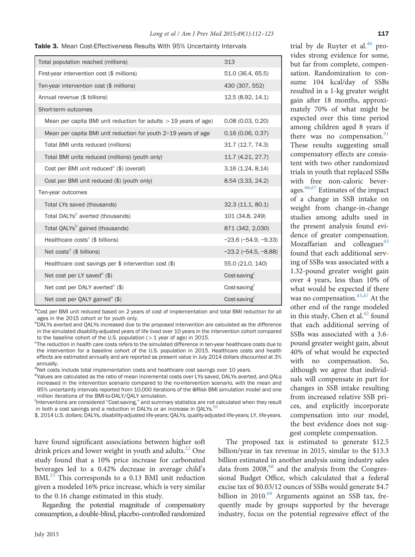<span id="page-5-0"></span>

| <b>Table 3.</b> Mean Cost-Effectiveness Results With 95% Uncertainty Intervals |  |
|--------------------------------------------------------------------------------|--|
|--------------------------------------------------------------------------------|--|

| Total population reached (millions)                                | 313                           |
|--------------------------------------------------------------------|-------------------------------|
| First-year intervention cost (\$ millions)                         | 51.0 (36.4, 65.5)             |
| Ten-year intervention cost (\$ millions)                           | 430 (307, 552)                |
| Annual revenue (\$ billions)                                       | 12.5 (8.92, 14.1)             |
| Short-term outcomes                                                |                               |
| Mean per capita BMI unit reduction for adults $>$ 19 years of age) | 0.08(0.03, 0.20)              |
| Mean per capita BMI unit reduction for youth 2-19 years of age     | 0.16(0.06, 0.37)              |
| Total BMI units reduced (millions)                                 | 31.7 (12.7, 74.3)             |
| Total BMI units reduced (millions) (youth only)                    | 11.7 (4.21, 27.7)             |
| Cost per BMI unit reduced <sup>a</sup> (\$) (overall)              | 3.16(1.24, 8.14)              |
| Cost per BMI unit reduced (\$) (youth only)                        | 8.54 (3.33, 24.2)             |
| Ten-year outcomes                                                  |                               |
| Total LYs saved (thousands)                                        | 32.3 (11.1, 80.1)             |
| Total DALYs <sup>b</sup> averted (thousands)                       | 101 (34.8, 249)               |
| Total QALYs <sup>b</sup> gained (thousands)                        | 871 (342, 2,030)              |
| Healthcare costs <sup>c</sup> (\$ billions)                        | $-23.6$ ( $-54.9$ , $-9.33$ ) |
| Net costs <sup>d</sup> (\$ billions)                               | $-23.2$ ( $-54.5, -8.88$ )    |
| Healthcare cost savings per $$$ intervention cost $$)$             | 55.0 (21.0, 140)              |
| Net cost per LY saved <sup>e</sup> (\$)                            | Cost-saving <sup>f</sup>      |
| Net cost per DALY averted <sup>e</sup> $(\$)$                      | Cost-saving                   |
| Net cost per QALY gained <sup>e</sup> $(\$)$                       | Cost-savingf                  |

<sup>a</sup>Cost per BMI unit reduced based on 2 years of cost of implementation and total BMI reduction for all ages in the 2015 cohort or for youth only.

**DALYs averted and QALYs increased due to the proposed intervention are calculated as the difference** in the simulated disability-adjusted years of life lived over 10 years in the intervention cohort compared to the baseline cohort of the U.S. population ( $>1$  year of age) in 2015.

<sup>c</sup>The reduction in health care costs refers to the simulated difference in ten-year healthcare costs due to the intervention for a baseline cohort of the U.S. population in 2015. Healthcare costs and health effects are estimated annually and are reported as present value in July 2014 dollars discounted at 3% annually.

<sup>d</sup>Net costs include total implementation costs and healthcare cost savings over 10 years.

eValues are calculated as the ratio of mean incremental costs over LYs saved, DALYs averted, and QALs increased in the intervention scenario compared to the no-intervention scenario, with the mean and 95% uncertainty intervals reported from 10,000 iterations of the @Risk BMI simulation model and one million iterations of the BMI-to-DALY/QALY simulation.

Interventions are considered "Cost-saving," and summary statistics are not calculated when they result in both a cost savings and a reduction in DALYs or an increase in QALYs.<sup>5</sup>

\$, 2014 U.S. dollars; DALYs, disability-adjusted life-years; QALYs, quality-adjusted life-years; LY, life-years.

have found significant associations between higher soft drink prices and lower weight in youth and adults.<sup>22</sup> One study found that a 10% price increase for carbonated beverages led to a 0.42% decrease in average child's BMI.<sup>23</sup> This corresponds to a 0.13 BMI unit reduction given a modeled 16% price increase, which is very similar to the 0.16 change estimated in this study.

Regarding the potential magnitude of compensatory consumption, a double-blind, placebo-controlled randomized

The proposed tax is estimated to generate \$12.5 billion/year in tax revenue in 2015, similar to the \$13.3 billion estimated in another analysis using industry sales data from  $2008<sub>1</sub><sup>68</sup>$  $2008<sub>1</sub><sup>68</sup>$  $2008<sub>1</sub><sup>68</sup>$  and the analysis from the Congressional Budget Office, which calculated that a federal excise tax of \$0.03/12 ounces of SSBs would generate \$4.7 billion in 2010.<sup>69</sup> Arguments against an SSB tax, frequently made by groups supported by the beverage industry, focus on the potential regressive effect of the

trial by de Ruyter et al.<sup>[46](#page-10-0)</sup> provides strong evidence for some, but far from complete, compensation. Randomization to consume 104 kcal/day of SSBs resulted in a 1-kg greater weight gain after 18 months, approximately 70% of what might be expected over this time period among children aged 8 years if there was no compensation. $51$ These results suggesting small compensatory effects are consistent with two other randomized trials in youth that replaced SSBs with free non-caloric beverages.<sup>66,67</sup> Estimates of the impact of a change in SSB intake on weight from change-in-change studies among adults used in the present analysis found evidence of greater compensation. Mozaffarian and colleagues $43$ found that each additional serving of SSBs was associated with a 1.32-pound greater weight gain over 4 years, less than 10% of what would be expected if there was no compensation.<sup>[43,47](#page-10-0)</sup> At the other end of the range modeled in this study, Chen et al. $^{42}$  $^{42}$  $^{42}$  found that each additional serving of SSBs was associated with a 3.6 pound greater weight gain, about 40% of what would be expected with no compensation. So, although we agree that individuals will compensate in part for changes in SSB intake resulting from increased relative SSB prices, and explicitly incorporate compensation into our model, the best evidence does not suggest complete compensation.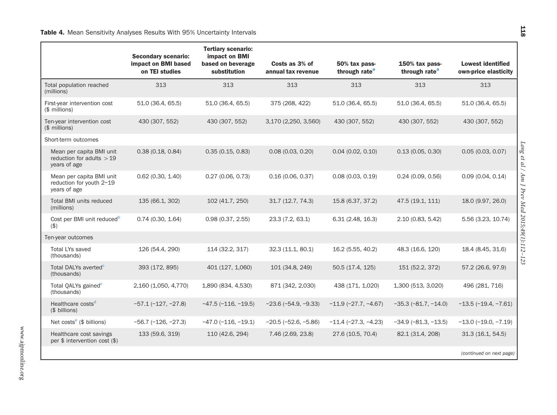<span id="page-6-0"></span>

|                                                                        | <b>Secondary scenario:</b><br>impact on BMI based<br>on TEI studies | <b>Tertiary scenario:</b><br>impact on BMI<br>based on beverage<br>substitution | Costs as 3% of<br>annual tax revenue | 50% tax pass-<br>through rate <sup>a</sup> | 150% tax pass-<br>through rate <sup>a</sup> | <b>Lowest identified</b><br>own-price elasticity |                                               |
|------------------------------------------------------------------------|---------------------------------------------------------------------|---------------------------------------------------------------------------------|--------------------------------------|--------------------------------------------|---------------------------------------------|--------------------------------------------------|-----------------------------------------------|
| Total population reached<br>(millions)                                 | 313                                                                 | 313                                                                             | 313                                  | 313                                        | 313                                         | 313                                              |                                               |
| First-year intervention cost<br>$$$ millions)                          | 51.0 (36.4, 65.5)                                                   | 51.0 (36.4, 65.5)                                                               | 375 (268, 422)                       | 51.0 (36.4, 65.5)                          | 51.0 (36.4, 65.5)                           | 51.0 (36.4, 65.5)                                |                                               |
| Ten-year intervention cost<br>(\$ millions)                            | 430 (307, 552)                                                      | 430 (307, 552)                                                                  | 3,170 (2,250, 3,560)                 | 430 (307, 552)                             | 430 (307, 552)                              | 430 (307, 552)                                   |                                               |
| Short-term outcomes                                                    |                                                                     |                                                                                 |                                      |                                            |                                             |                                                  |                                               |
| Mean per capita BMI unit<br>reduction for adults $>19$<br>years of age | 0.38(0.18, 0.84)                                                    | 0.35(0.15, 0.83)                                                                | 0.08(0.03, 0.20)                     | 0.04(0.02, 0.10)                           | 0.13(0.05, 0.30)                            | 0.05(0.03, 0.07)                                 | Long et al / Am J Prev Med 2015;49(1):112-123 |
| Mean per capita BMI unit<br>reduction for youth 2-19<br>years of age   | 0.62(0.30, 1.40)                                                    | 0.27(0.06, 0.73)                                                                | 0.16(0.06, 0.37)                     | 0.08(0.03, 0.19)                           | 0.24(0.09, 0.56)                            | 0.09(0.04, 0.14)                                 |                                               |
| <b>Total BMI units reduced</b><br>(millions)                           | 135 (66.1, 302)                                                     | 102 (41.7, 250)                                                                 | 31.7 (12.7, 74.3)                    | 15.8 (6.37, 37.2)                          | 47.5 (19.1, 111)                            | 18.0 (9.97, 26.0)                                |                                               |
| Cost per BMI unit reduced <sup>b</sup><br>(3)                          | 0.74(0.30, 1.64)                                                    | 0.98(0.37, 2.55)                                                                | 23.3 (7.2, 63.1)                     | 6.31(2.48, 16.3)                           | 2.10 (0.83, 5.42)                           | 5.56 (3.23, 10.74)                               |                                               |
| Ten-year outcomes                                                      |                                                                     |                                                                                 |                                      |                                            |                                             |                                                  |                                               |
| <b>Total LYs saved</b><br>(thousands)                                  | 126 (54.4, 290)                                                     | 114 (32.2, 317)                                                                 | 32.3 (11.1, 80.1)                    | 16.2 (5.55, 40.2)                          | 48.3 (16.6, 120)                            | 18.4 (8.45, 31.6)                                |                                               |
| Total DALYs averted <sup>c</sup><br>(thousands)                        | 393 (172, 895)                                                      | 401 (127, 1,060)                                                                | 101 (34.8, 249)                      | 50.5 (17.4, 125)                           | 151 (52.2, 372)                             | 57.2 (26.6, 97.9)                                |                                               |
| Total QALYs gained <sup>c</sup><br>(thousands)                         | 2,160 (1,050, 4,770)                                                | 1,890 (834, 4,530)                                                              | 871 (342, 2,030)                     | 438 (171, 1,020)                           | 1,300 (513, 3,020)                          | 496 (281, 716)                                   |                                               |
| Healthcare costs <sup>d</sup><br>(\$ billions)                         | $-57.1(-127, -27.8)$                                                | $-47.5$ $(-116, -19.5)$                                                         | $-23.6$ ( $-54.9$ , $-9.33$ )        | $-11.9(-27.7, -4.67)$                      | $-35.3$ $(-81.7, -14.0)$                    | $-13.5 (-19.4, -7.61)$                           |                                               |
| Net costs <sup>e</sup> ( $$$ billions)                                 | $-56.7$ $(-126, -27.3)$                                             | $-47.0$ ( $-116$ , $-19.1$ )                                                    | $-20.5$ ( $-52.6$ , $-5.86$ )        | $-11.4 (-27.3, -4.23)$                     | $-34.9(-81.3,-13.5)$                        | $-13.0$ $(-19.0, -7.19)$                         |                                               |
| Healthcare cost savings<br>per $$$ intervention cost $$)$              | 133 (59.6, 319)                                                     | 110 (42.6, 294)                                                                 | 7.46 (2.69, 23.8)                    | 27.6 (10.5, 70.4)                          | 82.1 (31.4, 208)                            | 31.3(16.1, 54.5)                                 |                                               |
|                                                                        |                                                                     |                                                                                 |                                      |                                            |                                             | (continued on next page)                         |                                               |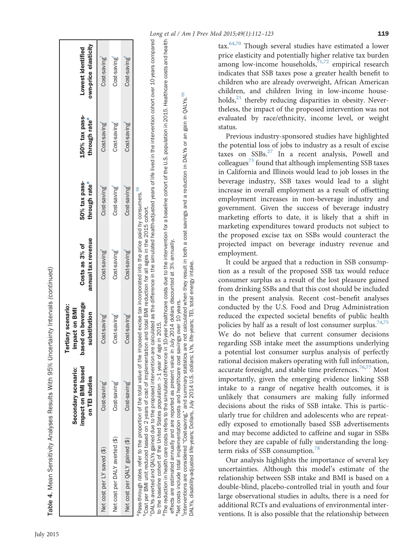<span id="page-7-0"></span>

| Table 4. Mean Sensitivity Analyses Results With 95%              |                                                             | Uncertainty Intervals (continued)                                                      |                                                                                     |                                            |                                                |                                           |
|------------------------------------------------------------------|-------------------------------------------------------------|----------------------------------------------------------------------------------------|-------------------------------------------------------------------------------------|--------------------------------------------|------------------------------------------------|-------------------------------------------|
|                                                                  | mpact on BMI based<br>Secondary scenario:<br>on TEI studies | based on beverage<br><b>Tertiary scenario:</b><br><b>Impact on BMI</b><br>substitution | annual tax revenue<br>Costs as $3\%$ of                                             | 50% tax pass-<br>through rate <sup>a</sup> | $150\%$ tax pass-<br>through rate <sup>a</sup> | own-price elasticity<br>Lowest identified |
| Net cost per LY saved (\$)                                       | Cost-saving                                                 | Cost-saving                                                                            | Cost-saving                                                                         | Cost-saving                                | Cost-saving                                    | Cost-saving                               |
| Net cost per DALY averted (\$)                                   | Cost-saving                                                 | Cost-saving                                                                            | Cost-saving                                                                         | Cost-saving                                | Cost-saving                                    | Cost-saving                               |
| Net cost per QALY gained (\$)                                    | Cost-saving                                                 | Cost-saving                                                                            | Cost-saving                                                                         | Cost-saving                                | Cost-saving                                    | Cost-saving                               |
| Pass-through rates refer to the proportion of the total value of |                                                             |                                                                                        | the imposed excise tax incorporated into the price paid by consumers. <sup>56</sup> |                                            |                                                |                                           |

n assumbugin accs rener or the proportion of the coding the interpretentation and total BMI reduction for all ages in the 2015 cohort.<br>"Cost per BMI unit reduced based on 2 years of cost of implementation and total BMI red bCost per BMI unit reduced based on 2 years of cost of implementation and total BMI reduction for all ages in the 2015 cohort.

"DALYs averted and QALYs gained due to the proposed intervention are calculated as the difference in the simulated health-adjusted years of life lived in the intervention cohort over 10 years compared cDALYs averted and QALYs gained due to the proposed intervention are calculated as the difference in the simulated health-adjusted years of life lived in the intervention cohort over 10 years compared to the baseline cohort of the United States population  $>$  1 year of age in 2015.  $>$  1 year of age in 2015. to the baseline cohort of the United States population

<sup>d</sup>The reduction in health care costs refers to the simulated difference in 10-year healthcare costs are healthcare costs and healthcare costs and healthcare costs and health <sup>d</sup>The reduction in health care costs refers to the simulated difference in 10-year healthcare costs due to the intervention for a baseline cohort of the U.S. population in 2015. Healthcare costs and health effects are estimated annually and are reported as present value in July 2014 dollars discounted at 3% annually. effects are estimated annually and are reported as present value in July 2014 dollars discounted at 3% annually.

55 fInterventions are considered "Cost-saving," and summary statistics are not calculated when they result in both a cost savings and a reduction in DALYs or an gain in QALYs.[55](#page-10-0) gain in QALYS. not calculated when they result in both a cost savings and a reduction in DALYs or an 'Ínterventions are considered "Cost-saving," and summary statistics are not calculated when they result ir<br>DALYs, disability-adjusted life-years; Dollars, July 2014 U.S. dollars; LYs, life-years; TEI, total energy intake DALYs, disability-adjusted life-years; Dollars, July 2014 U.S. dollars; LYs, life-years; TEI, total energy intake. Net costs include total implementation costs and healthcare cost savings over 10 years. eNet costs include total implementation costs and healthcare cost savings over 10 years.

Long et al / Am J Prev Med 2015;49(1):112-123 119

tax.<sup>[64,70](#page-11-0)</sup> Though several studies have estimated a lower price elasticity and potentially higher relative tax burden among low-income households,  $\frac{71,72}{7}$  empirical research indicates that SSB taxes pose a greater health benefit to children who are already overweight, African American children, and children living in low-income households, $^{21}$  thereby reducing disparities in obesity. Nevertheless, the impact of the proposed intervention was not evaluated by race/ethnicity, income level, or weight status.

Previous industry-sponsored studies have highlighted the potential loss of jobs to industry as a result of excise taxes on  $SSBs.$ <sup>27</sup> In a recent analysis, Powell and colleagues $^{73}$  $^{73}$  $^{73}$  found that although implementing SSB taxes in California and Illinois would lead to job losses in the beverage industry, SSB taxes would lead to a slight increase in overall employment as a result of offsetting employment increases in non-beverage industry and government. Given the success of beverage industry marketing efforts to date, it is likely that a shift in marketing expenditures toward products not subject to the proposed excise tax on SSBs would counteract the projected impact on beverage industry revenue and employment.

It could be argued that a reduction in SSB consumption as a result of the proposed SSB tax would reduce consumer surplus as a result of the lost pleasure gained from drinking SSBs and that this cost should be included in the present analysis. Recent cost–benefit analyses conducted by the U.S. Food and Drug Administration reduced the expected societal benefits of public health policies by half as a result of lost consumer surplus.<sup>[74,75](#page-11-0)</sup> We do not believe that current consumer decisions regarding SSB intake meet the assumptions underlying a potential lost consumer surplus analysis of perfectly rational decision makers operating with full information, accurate foresight, and stable time preferences.<sup>[76,77](#page-11-0)</sup> Most importantly, given the emerging evidence linking SSB intake to a range of negative health outcomes, it is unlikely that consumers are making fully informed decisions about the risks of SSB intake. This is particularly true for children and adolescents who are repeatedly exposed to emotionally based SSB advertisements and may become addicted to caffeine and sugar in SSBs before they are capable of fully understanding the long-term risks of SSB consumption.<sup>[78](#page-11-0)</sup>

Our analysis highlights the importance of several key uncertainties. Although this model's estimate of the relationship between SSB intake and BMI is based on a double-blind, placebo-controlled trial in youth and four large observational studies in adults, there is a need for additional RCTs and evaluations of environmental interventions. It is also possible that the relationship between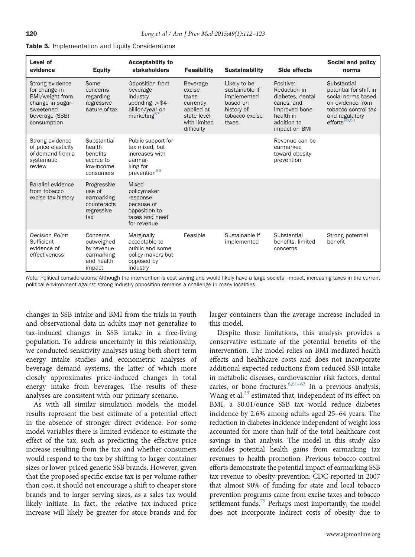<span id="page-8-0"></span>

|  | <b>Table 5.</b> Implementation and Equity Considerations |  |  |
|--|----------------------------------------------------------|--|--|
|--|----------------------------------------------------------|--|--|

| Level of<br>evidence                                                                                                  | <b>Equity</b>                                                              | <b>Acceptability to</b><br>stakeholders                                                                   | <b>Feasibility</b>                                                                                         | <b>Sustainability</b>                                                                              | Side effects                                                                                                               | <b>Social and policy</b><br>norms                                                                                                                    |
|-----------------------------------------------------------------------------------------------------------------------|----------------------------------------------------------------------------|-----------------------------------------------------------------------------------------------------------|------------------------------------------------------------------------------------------------------------|----------------------------------------------------------------------------------------------------|----------------------------------------------------------------------------------------------------------------------------|------------------------------------------------------------------------------------------------------------------------------------------------------|
| Strong evidence<br>for change in<br>BMI/weight from<br>change in sugar-<br>sweetened<br>beverage (SSB)<br>consumption | Some<br>concerns<br>regarding<br>regressive<br>nature of tax               | Opposition from<br>beverage<br>industry<br>spending $> $4$<br>billion/year on<br>marketing <sup>57</sup>  | <b>Beverage</b><br>excise<br>taxes<br>currently<br>applied at<br>state level<br>with limited<br>difficulty | Likely to be<br>sustainable if<br>implemented<br>based on<br>history of<br>tobacco excise<br>taxes | Positive:<br>Reduction in<br>diabetes, dental<br>caries, and<br>improved bone<br>health in<br>addition to<br>impact on BMI | Substantial<br>potential for shift in<br>social norms based<br>on evidence from<br>tobacco control tax<br>and regulatory<br>efforts <sup>58,60</sup> |
| Strong evidence<br>of price elasticity<br>of demand from a<br>systematic<br>review                                    | Substantial<br>health<br>benefits<br>accrue to<br>low-income<br>consumers  | Public support for<br>tax mixed, but<br>increases with<br>earmar-<br>king for<br>prevention <sup>59</sup> |                                                                                                            |                                                                                                    | Revenue can be<br>earmarked<br>toward obesity<br>prevention                                                                |                                                                                                                                                      |
| Parallel evidence<br>from tobacco<br>excise tax history                                                               | Progressive<br>use of<br>earmarking<br>counteracts<br>regressive<br>tax    | Mixed<br>policymaker<br>response<br>because of<br>opposition to<br>taxes and need<br>for revenue          |                                                                                                            |                                                                                                    |                                                                                                                            |                                                                                                                                                      |
| Decision Point:<br>Sufficient<br>evidence of<br>effectiveness                                                         | Concerns<br>outweighed<br>by revenue<br>earmarking<br>and health<br>impact | Marginally<br>acceptable to<br>public and some<br>policy makers but<br>opposed by<br>industry             | Feasible                                                                                                   | Sustainable if<br>implemented                                                                      | Substantial<br>benefits, limited<br>concerns                                                                               | Strong potential<br>benefit                                                                                                                          |

Note: Political considerations: Although the intervention is cost saving and would likely have a large societal impact, increasing taxes in the current political environment against strong industry opposition remains a challenge in many localities.

changes in SSB intake and BMI from the trials in youth and observational data in adults may not generalize to tax-induced changes in SSB intake in a free-living population. To address uncertainty in this relationship, we conducted sensitivity analyses using both short-term energy intake studies and econometric analyses of beverage demand systems, the latter of which more closely approximates price-induced changes in total energy intake from beverages. The results of these analyses are consistent with our primary scenario.

As with all similar simulation models, the model results represent the best estimate of a potential effect in the absence of stronger direct evidence. For some model variables there is limited evidence to estimate the effect of the tax, such as predicting the effective price increase resulting from the tax and whether consumers would respond to the tax by shifting to larger container sizes or lower-priced generic SSB brands. However, given that the proposed specific excise tax is per volume rather than cost, it should not encourage a shift to cheaper store brands and to larger serving sizes, as a sales tax would likely initiate. In fact, the relative tax-induced price increase will likely be greater for store brands and for larger containers than the average increase included in this model.

Despite these limitations, this analysis provides a conservative estimate of the potential benefits of the intervention. The model relies on BMI-mediated health effects and healthcare costs and does not incorporate additional expected reductions from reduced SSB intake in metabolic diseases, cardiovascular risk factors, dental caries, or bone fractures.  $6,61-63$  $6,61-63$  $6,61-63$  $6,61-63$  In a previous analysis, Wang et al.<sup>[29](#page-10-0)</sup> estimated that, independent of its effect on BMI, a \$0.01/ounce SSB tax would reduce diabetes incidence by 2.6% among adults aged 25–64 years. The reduction in diabetes incidence independent of weight loss accounted for more than half of the total healthcare cost savings in that analysis. The model in this study also excludes potential health gains from earmarking tax revenues to health promotion. Previous tobacco control efforts demonstrate the potential impact of earmarking SSB tax revenue to obesity prevention: CDC reported in 2007 that almost 90% of funding for state and local tobacco prevention programs came from excise taxes and tobacco settlement funds.<sup>79</sup> Perhaps most importantly, the model does not incorporate indirect costs of obesity due to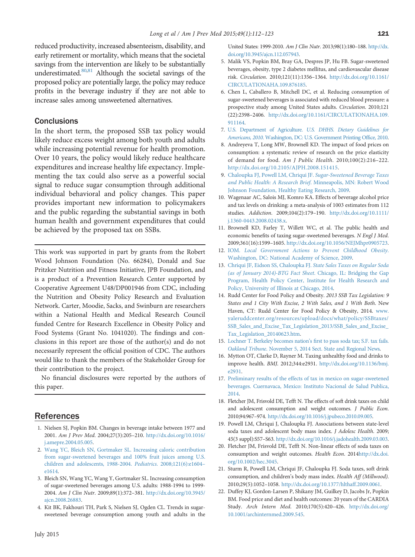<span id="page-9-0"></span>reduced productivity, increased absenteeism, disability, and early retirement or mortality, which means that the societal savings from the intervention are likely to be substantially underestimated. $80,81$  $80,81$  $80,81$  Although the societal savings of the proposed policy are potentially large, the policy may reduce profits in the beverage industry if they are not able to increase sales among unsweetened alternatives.

## **Conclusions**

In the short term, the proposed SSB tax policy would likely reduce excess weight among both youth and adults while increasing potential revenue for health promotion. Over 10 years, the policy would likely reduce healthcare expenditures and increase healthy life expectancy. Implementing the tax could also serve as a powerful social signal to reduce sugar consumption through additional individual behavioral and policy changes. This paper provides important new information to policymakers and the public regarding the substantial savings in both human health and government expenditures that could be achieved by the proposed tax on SSBs.

This work was supported in part by grants from the Robert Wood Johnson Foundation (No. 66284), Donald and Sue Pritzker Nutrition and Fitness Initiative, JPB Foundation, and is a product of a Prevention Research Center supported by Cooperative Agreement U48/DP001946 from CDC, including the Nutrition and Obesity Policy Research and Evaluation Network. Carter, Moodie, Sacks, and Swinburn are researchers within a National Health and Medical Research Council funded Centre for Research Excellence in Obesity Policy and Food Systems (Grant No. 1041020). The findings and conclusions in this report are those of the author(s) and do not necessarily represent the official position of CDC. The authors would like to thank the members of the Stakeholder Group for their contribution to the project.

No financial disclosures were reported by the authors of this paper.

# References

- 1. Nielsen SJ, Popkin BM. Changes in beverage intake between 1977 and 2001. Am J Prev Med. 2004;27(3):205–210. [http://dx.doi.org/10.1016/](http://dx.doi.org/10.1016/j.amepre.2004.05.005) [j.amepre.2004.05.005.](http://dx.doi.org/10.1016/j.amepre.2004.05.005)
- 2. [Wang YC, Bleich SN, Gortmaker SL. Increasing caloric contribution](http://refhub.elsevier.com/S0749-3797(15)00096-3/sbref2) [from sugar-sweetened beverages and 100% fruit juices among U.S.](http://refhub.elsevier.com/S0749-3797(15)00096-3/sbref2) [children and adolescents, 1988-2004.](http://refhub.elsevier.com/S0749-3797(15)00096-3/sbref2) Pediatrics. 2008;121(6):e1604– [e1614.](http://refhub.elsevier.com/S0749-3797(15)00096-3/sbref2)
- 3. Bleich SN, Wang YC, Wang Y, Gortmaker SL. Increasing consumption of sugar-sweetened beverages among U.S. adults: 1988-1994 to 1999- 2004. Am J Clin Nutr. 2009;89(1):372–381. [http://dx.doi.org/10.3945/](http://dx.doi.org/10.3945/ajcn.2008.26883) [ajcn.2008.26883.](http://dx.doi.org/10.3945/ajcn.2008.26883)
- 4. Kit BK, Fakhouri TH, Park S, Nielsen SJ, Ogden CL. Trends in sugarsweetened beverage consumption among youth and adults in the

United States: 1999-2010. Am J Clin Nutr. 2013;98(1):180–188. [http://dx.](http://dx.doi.org/10.3945/ajcn.112.057943) [doi.org/10.3945/ajcn.112.057943.](http://dx.doi.org/10.3945/ajcn.112.057943)

- 5. Malik VS, Popkin BM, Bray GA, Despres JP, Hu FB. Sugar-sweetened beverages, obesity, type 2 diabetes mellitus, and cardiovascular disease risk. Circulation. 2010;121(11):1356–1364. [http://dx.doi.org/10.1161/](http://dx.doi.org/10.1161/CIRCULATIONAHA.109.876185) [CIRCULATIONAHA.109.876185](http://dx.doi.org/10.1161/CIRCULATIONAHA.109.876185).
- 6. Chen L, Caballero B, Mitchell DC, et al. Reducing consumption of sugar-sweetened beverages is associated with reduced blood pressure: a prospective study among United States adults. Circulation. 2010;121 (22):2398–2406. [http://dx.doi.org/10.1161/CIRCULATIONAHA.109.](http://dx.doi.org/10.1161/CIRCULATIONAHA.109.911164) [911164](http://dx.doi.org/10.1161/CIRCULATIONAHA.109.911164).
- 7. U.S. Department of Agriculture. [U.S. DHHS. Dietary Guidelines for](http://refhub.elsevier.com/S0749-3797(15)00096-3/sbref7) Americans, 2010[. Washington, DC: U.S. Government Printing Of](http://refhub.elsevier.com/S0749-3797(15)00096-3/sbref7)fice, 2010.
- 8. Andreyeva T, Long MW, Brownell KD. The impact of food prices on consumption: a systematic review of research on the price elasticity of demand for food. Am J Public Health. 2010;100(2):216–222. <http://dx.doi.org/10.2105/AJPH.2008.151415>.
- 9. [Chaloupka FJ, Powell LM, Chriqui JF.](http://refhub.elsevier.com/S0749-3797(15)00096-3/sbref9) Sugar-Sweetened Beverage Taxes [and Public Health: A Research Brief](http://refhub.elsevier.com/S0749-3797(15)00096-3/sbref9). Minneapolis, MN: Robert Wood [Johnson Foundation, Healthy Eating Research, 2009.](http://refhub.elsevier.com/S0749-3797(15)00096-3/sbref9)
- 10. Wagenaar AC, Salois MJ, Komro KA. Effects of beverage alcohol price and tax levels on drinking: a meta-analysis of 1003 estimates from 112 studies. Addiction. 2009;104(2):179–190. [http://dx.doi.org/10.1111/](http://dx.doi.org/10.1111/j.1360-0443.2008.02438.x) [j.1360-0443.2008.02438.x.](http://dx.doi.org/10.1111/j.1360-0443.2008.02438.x)
- 11. Brownell KD, Farley T, Willett WC, et al. The public health and economic benefits of taxing sugar-sweetened beverages. N Engl J Med. 2009;361(16):1599–1605. <http://dx.doi.org/10.1056/NEJMhpr0905723>.
- 12. IOM. [Local Government Actions to Prevent Childhood Obesity](http://refhub.elsevier.com/S0749-3797(15)00096-3/sbref12). [Washington, DC: National Academy of Science, 2009.](http://refhub.elsevier.com/S0749-3797(15)00096-3/sbref12)
- 13. [Chriqui JF, Eidson SS, Chaloupka FJ.](http://refhub.elsevier.com/S0749-3797(15)00096-3/sbref13) State Sales Taxes on Regular Soda [\(as of January 2014\)-BTG Fact Sheet](http://refhub.elsevier.com/S0749-3797(15)00096-3/sbref13). Chicago, IL: Bridging the Gap [Program, Health Policy Center, Institute for Health Research and](http://refhub.elsevier.com/S0749-3797(15)00096-3/sbref13) [Policy, University of Illinois at Chicago, 2014.](http://refhub.elsevier.com/S0749-3797(15)00096-3/sbref13)
- 14. Rudd Center for Food Policy and Obesity. 2013 SSB Tax Legislation: 9 States and 1 City With Excise, 2 With Sales, and 1 With Both. New Haven, CT: Rudd Center for Food Policy & Obesity, 2014. [www.](www.yaleruddcenter.org/resources/upload/docs/what/policy/SSBtaxes/SSB_Sales_and_Excise_Tax_Legislation_2013/SSB_Sales_and_Excise_Tax_Legislation_20140623.htm) [yaleruddcenter.org/resources/upload/docs/what/policy/SSBtaxes/](www.yaleruddcenter.org/resources/upload/docs/what/policy/SSBtaxes/SSB_Sales_and_Excise_Tax_Legislation_2013/SSB_Sales_and_Excise_Tax_Legislation_20140623.htm) [SSB\\_Sales\\_and\\_Excise\\_Tax\\_Legislation\\_2013/SSB\\_Sales\\_and\\_Excise\\_](www.yaleruddcenter.org/resources/upload/docs/what/policy/SSBtaxes/SSB_Sales_and_Excise_Tax_Legislation_2013/SSB_Sales_and_Excise_Tax_Legislation_20140623.htm) [Tax\\_Legislation\\_20140623.htm](www.yaleruddcenter.org/resources/upload/docs/what/policy/SSBtaxes/SSB_Sales_and_Excise_Tax_Legislation_2013/SSB_Sales_and_Excise_Tax_Legislation_20140623.htm).
- 15. [Lochner T. Berkeley becomes nation](http://refhub.elsevier.com/S0749-3797(15)00096-3/sbref15)'s first to pass soda tax; S.F. tax fails. Oakland Tribune[. November 5, 2014 Sect. State and Regional News.](http://refhub.elsevier.com/S0749-3797(15)00096-3/sbref15)
- 16. Mytton OT, Clarke D, Rayner M. Taxing unhealthy food and drinks to improve health. BMJ. 2012;344:e2931. [http://dx.doi.org/10.1136/bmj.](http://dx.doi.org/10.1136/bmj.e2931) [e2931](http://dx.doi.org/10.1136/bmj.e2931).
- 17. [Preliminary results of the effects of tax in mexico on sugar-sweetened](http://refhub.elsevier.com/S0749-3797(15)00096-3/sbref17) [beverages. Cuernavaca, Mexico: Instituto Nacional de Salud Publica,](http://refhub.elsevier.com/S0749-3797(15)00096-3/sbref17) [2014.](http://refhub.elsevier.com/S0749-3797(15)00096-3/sbref17)
- 18. Fletcher JM, Frisvold DE, Tefft N. The effects of soft drink taxes on child and adolescent consumption and weight outcomes. J Public Econ. 2010;94:967–974. [http://dx.doi.org/10.1016/j.jpubeco.2010.09.005.](http://dx.doi.org/10.1016/j.jpubeco.2010.09.&!QJ;005)
- 19. Powell LM, Chriqui J, Chaloupka FJ. Associations between state-level soda taxes and adolescent body mass index. J Adolesc Health. 2009; 45(3 suppl):S57–S63. <http://dx.doi.org/10.1016/j.jadohealth.2009.03.003>.
- 20. Fletcher JM, Frisvold DE, Tefft N. Non-linear effects of soda taxes on consumption and weight outcomes. Health Econ. 201[4http://dx.doi.](http://dx.doi.org/10.1002/hec.3045) [org/10.1002/hec.3045.](http://dx.doi.org/10.1002/hec.3045)
- 21. Sturm R, Powell LM, Chriqui JF, Chaloupka FJ. Soda taxes, soft drink consumption, and children's body mass index. Health Aff (Millwood). 2010;29(5):1052–1058. <http://dx.doi.org/10.1377/hlthaff.2009.0061>.
- 22. Duffey KJ, Gordon-Larsen P, Shikany JM, Guilkey D, Jacobs Jr, Popkin BM. Food price and diet and health outcomes: 20 years of the CARDIA Study. Arch Intern Med. 2010;170(5):420–426. [http://dx.doi.org/](http://dx.doi.org/10.1001/archinternmed.2009.545) [10.1001/archinternmed.2009.545](http://dx.doi.org/10.1001/archinternmed.2009.545).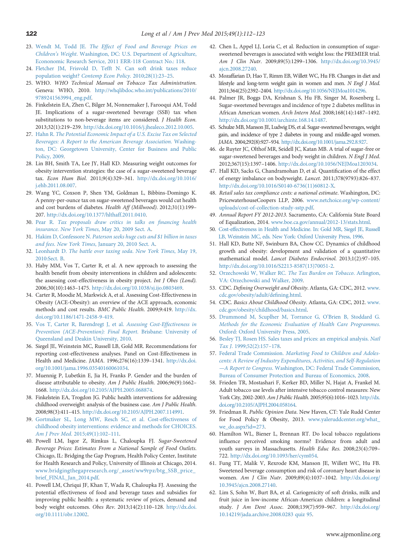- <span id="page-10-0"></span>23. Wendt M, Todd JE. [The Effect of Food and Beverage Prices on](http://refhub.elsevier.com/S0749-3797(15)00096-3/sbref23) Children's Weight[. Washington, DC: U.S. Department of Agriculture,](http://refhub.elsevier.com/S0749-3797(15)00096-3/sbref23) [Econonomic Research Service, 2011 ERR-118 Contract No.: 118.](http://refhub.elsevier.com/S0749-3797(15)00096-3/sbref23)
- 24. [Fletcher JM, Frisvold D, Tefft N. Can soft drink taxes reduce](http://refhub.elsevier.com/S0749-3797(15)00096-3/sbref24) population weight? [Contemp Econ Policy](http://refhub.elsevier.com/S0749-3797(15)00096-3/sbref24). 2010;28(1):23–25.
- 25. WHO. WHO Technical Manual on Tobacco Tax Administration. Geneva: WHO, 2010. [http://whqlibdoc.who.int/publications/2010/](http://whqlibdoc.who.int/publications/2010/9789241563994_eng.pdf) [9789241563994\\_eng.pdf.](http://whqlibdoc.who.int/publications/2010/9789241563994_eng.pdf)
- 26. Finkelstein EA, Zhen C, Bilger M, Nonnemaker J, Farooqui AM, Todd JE. Implications of a sugar-sweetened beverage (SSB) tax when substitutions to non-beverage items are considered. J Health Econ. 2013;32(1):219–239. <http://dx.doi.org/10.1016/j.jhealeco.2012.10.005>.
- 27. Hahn R. [The Potential Economic Impact of a U.S. Excise Tax on Selected](http://refhub.elsevier.com/S0749-3797(15)00096-3/sbref27) [Beverages: A Report to the American Beverage Association](http://refhub.elsevier.com/S0749-3797(15)00096-3/sbref27). Washing[ton, DC: Georgetown University, Center for Business and Public](http://refhub.elsevier.com/S0749-3797(15)00096-3/sbref27) [Policy, 2009.](http://refhub.elsevier.com/S0749-3797(15)00096-3/sbref27)
- 28. Lin BH, Smith TA, Lee JY, Hall KD. Measuring weight outcomes for obesity intervention strategies: the case of a sugar-sweetened beverage tax. Econ Hum Biol. 2011;9(4):329–341. [http://dx.doi.org/10.1016/](http://dx.doi.org/10.1016/j.ehb.2011.08.007) [j.ehb.2011.08.007](http://dx.doi.org/10.1016/j.ehb.2011.08.007).
- 29. Wang YC, Coxson P, Shen YM, Goldman L, Bibbins-Domingo K. A penny-per-ounce tax on sugar-sweetened beverages would cut health and cost burdens of diabetes. Health Aff (Millwood). 2012;31(1):199– 207. <http://dx.doi.org/10.1377/hlthaff.2011.0410>.
- 30. Pear R. [Tax proposals draw critics in talks on](http://refhub.elsevier.com/S0749-3797(15)00096-3/sbref30) financing health insurance. New York Times[, May 20, 2009 Sect. A.](http://refhub.elsevier.com/S0749-3797(15)00096-3/sbref30)
- 31. Hakim D, Confessore N. [Paterson seeks huge cuts and \\$1 billion in taxes](http://refhub.elsevier.com/S0749-3797(15)00096-3/sbref31) and fees. New York Times[, January 20, 2010 Sect. A.](http://refhub.elsevier.com/S0749-3797(15)00096-3/sbref31)
- 32. Leonhardt D. [The battle over taxing soda](http://refhub.elsevier.com/S0749-3797(15)00096-3/sbref32). New York Times, May 19, [2010:Sect. B.](http://refhub.elsevier.com/S0749-3797(15)00096-3/sbref32)
- 33. Haby MM, Vos T, Carter R, et al. A new approach to assessing the health benefit from obesity interventions in children and adolescents: the assessing cost-effectiveness in obesity project. Int J Obes (Lond). 2006;30(10):1463–1475. <http://dx.doi.org/10.1038/sj.ijo.0803469>.
- 34. Carter R, Moodie M, Markwick A, et al. Assessing Cost-Effectiveness in Obesity (ACE-Obesity): an overview of the ACE approach, economic methods and cost results. BMC Public Health. 2009;9:419. [http://dx.](http://dx.doi.org/10.1186/1471-2458-9-419) [doi.org/10.1186/1471-2458-9-419](http://dx.doi.org/10.1186/1471-2458-9-419).
- 35. [Vos T, Carter R, Barendregt J, et al.](http://refhub.elsevier.com/S0749-3797(15)00096-3/sbref35) Assessing Cost-Effectiveness in [Prevention \(ACE-Prevention\): Final Report](http://refhub.elsevier.com/S0749-3797(15)00096-3/sbref35). Brisbane: University of [Queensland and Deakin University, 2010.](http://refhub.elsevier.com/S0749-3797(15)00096-3/sbref35)
- 36. Siegel JE, Weinstein MC, Russell LB, Gold MR. Recommendations for reporting cost-effectiveness analyses. Panel on Cost-Effectiveness in Health and Medicine. JAMA. 1996;276(16):1339–1341. [http://dx.doi.](http://dx.doi.org/10.1001/jama.1996.03540160061034) [org/10.1001/jama.1996.03540160061034](http://dx.doi.org/10.1001/jama.1996.03540160061034).
- 37. Muennig P, Lubetkin E, Jia H, Franks P. Gender and the burden of disease attributable to obesity. Am J Public Health. 2006;96(9):1662– 1668. <http://dx.doi.org/10.2105/AJPH.2005.068874>.
- 38. Finkelstein EA, Trogdon JG. Public health interventions for addressing childhood overweight: analysis of the business case. Am J Public Health. 2008;98(3):411–415. [http://dx.doi.org/10.2105/AJPH.2007.114991.](http://dx.doi.org/10.2105/AJPH.2007.114991)
- 39. [Gortmaker SL, Long MW, Resch SC, et al. Cost-effectiveness of](http://refhub.elsevier.com/S0749-3797(15)00096-3/sbref39) [childhood obesity interventions: evidence and methods for CHOICES.](http://refhub.elsevier.com/S0749-3797(15)00096-3/sbref39) Am J Prev Med[. 2015;49\(1\):102](http://refhub.elsevier.com/S0749-3797(15)00096-3/sbref39)–111.
- 40. Powell LM, Isgor Z, Rimkus L, Chaloupka FJ. Sugar-Sweetened Beverage Prices: Estimates From a National Sample of Food Outlets. Chicago, IL: Bridging the Gap Program, Health Policy Center, Institute for Health Research and Policy, University of Illinois at Chicago, 2014. [www.bridgingthegapresearch.org/\\_asset/ww9rpz/btg\\_SSB\\_price\\_](www.bridgingthegapresearch.org/_asset/ww9rpz/btg_SSB_price_brief_FINAL_Jan_2014.pdf) [brief\\_FINAL\\_Jan\\_2014.pdf](www.bridgingthegapresearch.org/_asset/ww9rpz/btg_SSB_price_brief_FINAL_Jan_2014.pdf).
- 41. Powell LM, Chriqui JF, Khan T, Wada R, Chaloupka FJ. Assessing the potential effectiveness of food and beverage taxes and subsidies for improving public health: a systematic review of prices, demand and body weight outcomes. Obes Rev. 2013;14(2):110–128. [http://dx.doi.](http://dx.doi.org/10.1111/obr.12002) [org/10.1111/obr.12002](http://dx.doi.org/10.1111/obr.12002).
- 42. Chen L, Appel LJ, Loria C, et al. Reduction in consumption of sugarsweetened beverages is associated with weight loss: the PREMIER trial. Am J Clin Nutr. 2009;89(5):1299–1306. [http://dx.doi.org/10.3945/](http://dx.doi.org/10.3945/ajcn.2008.27240) [ajcn.2008.27240](http://dx.doi.org/10.3945/ajcn.2008.27240).
- 43. Mozaffarian D, Hao T, Rimm EB, Willett WC, Hu FB. Changes in diet and lifestyle and long-term weight gain in women and men. N Engl J Med. 2011;364(25):2392–2404. <http://dx.doi.org/10.1056/NEJMoa1014296>.
- 44. Palmer JR, Boggs DA, Krishnan S, Hu FB, Singer M, Rosenberg L. Sugar-sweetened beverages and incidence of type 2 diabetes mellitus in African American women. Arch Intern Med. 2008;168(14):1487–1492. <http://dx.doi.org/10.1001/archinte.168.14.1487>.
- 45. Schulze MB, Manson JE, Ludwig DS, et al. Sugar-sweetened beverages, weight gain, and incidence of type 2 diabetes in young and middle-aged women. JAMA. 2004;292(8):927–934. [http://dx.doi.org/10.1001/jama.292.8.927.](http://dx.doi.org/10.1001/jama.292.8.927)
- 46. de Ruyter JC, Olthof MR, Seidell JC, Katan MB. A trial of sugar-free or sugar-sweetened beverages and body weight in children. N Engl J Med. 2012;367(15):1397–1406. [http://dx.doi.org/10.1056/NEJMoa1203034.](http://dx.doi.org/10.1056/NEJMoa1203034)
- 47. Hall KD, Sacks G, Chandramohan D, et al. Quantification of the effect of energy imbalance on bodyweight. Lancet. 2011;378(9793):826–837. [http://dx.doi.org/10.1016/S0140-6736\(11\)60812-X.](http://dx.doi.org/10.1016/S0140-6736(11)60812-X)
- 48. Retail sales tax compliance costs: a national estimate. Washington, DC: PricewaterhouseCoopers LLP, 2006. [www.netchoice.org/wp-content/](www.netchoice.org/wp-content/uploads/cost-of-collection-study-sstp.pdf) [uploads/cost-of-collection-study-sstp.pdf.](www.netchoice.org/wp-content/uploads/cost-of-collection-study-sstp.pdf)
- 49. Annual Report FY 2012-2013. Sacramento, CA: California State Board of Equalization, 2014. [www.boe.ca.gov/annual/2012-13/stats.html.](www.boe.ca.gov/annual/2012-13/stats.html)
- 50. [Cost-effectiveness in Health and Medicine. In: Gold MR, Siegel JE, Russell](http://refhub.elsevier.com/S0749-3797(15)00096-3/sbref50) [LB, Weinstein MC, eds. New York: Oxford University Press, 1996.](http://refhub.elsevier.com/S0749-3797(15)00096-3/sbref50)
- 51. Hall KD, Butte NF, Swinburn BA, Chow CC. Dynamics of childhood growth and obesity: development and validation of a quantitative mathematical model. Lancet Diabetes Endocrinol. 2013;1(2):97–105. [http://dx.doi.org/10.1016/S2213-8587\(13\)70051-2.](http://dx.doi.org/10.1016/S2213-8587(13)70051-2)
- 52. [Orzechowski W, Walker RC.](http://refhub.elsevier.com/S0749-3797(15)00096-3/sbref52) The Tax Burden on Tobacco. Arlington, [VA: Orzechowski and Walker, 2009.](http://refhub.elsevier.com/S0749-3797(15)00096-3/sbref52)
- 53. CDC. Defining Overweight and Obesity. Atlanta, GA: CDC, 2012. [www.](www.cdc.gov/obesity/adult/defining.html) [cdc.gov/obesity/adult/de](www.cdc.gov/obesity/adult/defining.html)fining.html.
- 54. CDC. Basics About Childhood Obesity. Atlanta, GA: CDC, 2012. [www.](www.cdc.gov/obesity/childhood/basics.html) [cdc.gov/obesity/childhood/basics.html.](www.cdc.gov/obesity/childhood/basics.html)
- 55. [Drummond M, Scuplher M, Torrance G, O](http://refhub.elsevier.com/S0749-3797(15)00096-3/sbref55)'Brien B, Stoddard G. [Methods for the Economic Evaluation of Health Care Programmes](http://refhub.elsevier.com/S0749-3797(15)00096-3/sbref55). [Oxford: Oxford University Press, 2005.](http://refhub.elsevier.com/S0749-3797(15)00096-3/sbref55)
- 56. [Besley TJ, Rosen HS. Sales taxes and prices: an empirical analysis.](http://refhub.elsevier.com/S0749-3797(15)00096-3/sbref56) Natl Tax J[. 1999;52\(2\):157](http://refhub.elsevier.com/S0749-3797(15)00096-3/sbref56)–178.
- 57. Federal Trade Commission. [Marketing Food to Children and Adoles](http://refhub.elsevier.com/S0749-3797(15)00096-3/sbref57)[cents: A Review of Industry Expenditures, Activities, and Self-Regulation](http://refhub.elsevier.com/S0749-3797(15)00096-3/sbref57) —A Report to Congress[. Washington, DC: Federal Trade Commission,](http://refhub.elsevier.com/S0749-3797(15)00096-3/sbref57) [Bureau of Consumer Protection and Bureau of Economics, 2008.](http://refhub.elsevier.com/S0749-3797(15)00096-3/sbref57)
- 58. Frieden TR, Mostashari F, Kerker BD, Miller N, Hajat A, Frankel M. Adult tobacco use levels after intensive tobacco control measures: New York City, 2002-2003. Am J Public Health. 2005;95(6):1016–1023. [http://dx.](http://dx.doi.org/10.2105/AJPH.2004.058164) [doi.org/10.2105/AJPH.2004.058164](http://dx.doi.org/10.2105/AJPH.2004.058164).
- 59. Friedman R. Public Opinion Data. New Haven, CT: Yale Rudd Center for Food Policy & Obesity, 2013. [www.yaleruddcenter.org/what\\_](www.yaleruddcenter.org/what_we_do.aspx?id=273) [we\\_do.aspx?id](www.yaleruddcenter.org/what_we_do.aspx?id=273)=273.
- 60. Hamilton WL, Biener L, Brennan RT. Do local tobacco regulations influence perceived smoking norms? Evidence from adult and youth surveys in Massachusetts. Health Educ Res. 2008;23(4):709– 722. <http://dx.doi.org/10.1093/her/cym054>.
- 61. Fung TT, Malik V, Rexrode KM, Manson JE, Willett WC, Hu FB. Sweetened beverage consumption and risk of coronary heart disease in women. Am J Clin Nutr. 2009;89(4):1037–1042. [http://dx.doi.org/](http://dx.doi.org/10.3945/ajcn.2008.27140) [10.3945/ajcn.2008.27140.](http://dx.doi.org/10.3945/ajcn.2008.27140)
- 62. Lim S, Sohn W, Burt BA, et al. Cariogenicity of soft drinks, milk and fruit juice in low-income African-American children: a longitudinal study. J Am Dent Assoc. 2008;139(7):959–967. [http://dx.doi.org/](http://dx.doi.org/10.14219/jada.archive.2008.0283) [10.14219/jada.archive.2008.0283](http://dx.doi.org/10.14219/jada.archive.2008.0283) quiz 95.